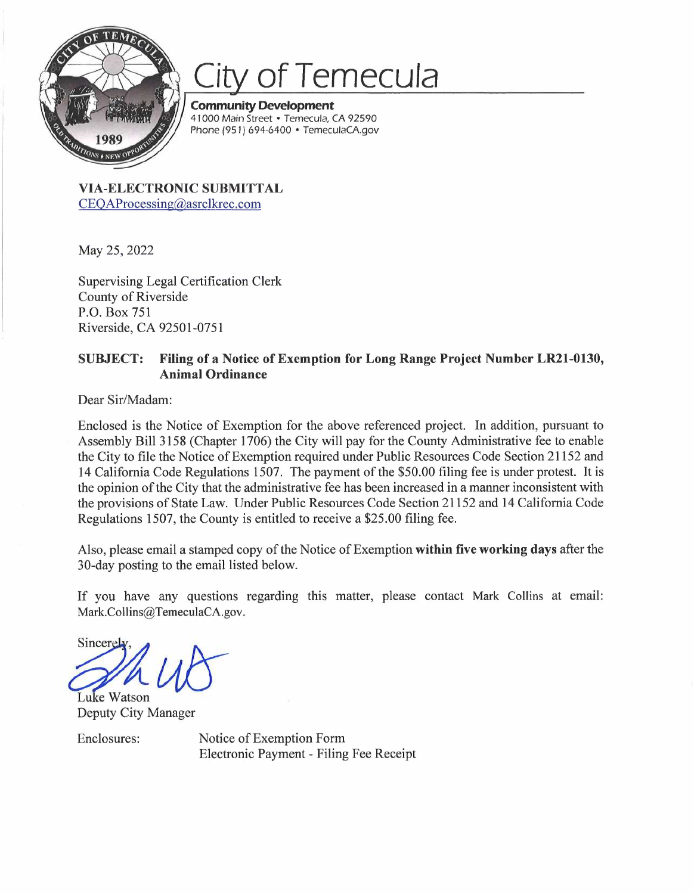

## **of Temecula**

**Community Development**  41000 Main Street • Temecula, CA 92590 Phone (95 I) 694-6400 • TemeculaCA.gov

**VIA-ELECTRONIC SUBMITTAL**  CEOAProcessing@asrclkrec.com

May 25, 2022

Supervising Legal Certification Clerk County of Riverside P.O. Box 751 Riverside, CA 92501-0751

## **SUBJECT: Filing of a Notice of Exemption for Long Range Project Number LR21-0130, Animal Ordinance**

Dear Sir/Madam:

Enclosed is the Notice of Exemption for the above referenced project. In addition, pursuant to Assembly Bill 3158 (Chapter 1706) the City will pay for the County Administrative fee to enable the City to file the Notice of Exemption required under Public Resources Code Section 21152 and 14 California Code Regulations 1507. The payment of the \$50.00 filing fee is under protest. It is the opinion of the City that the administrative fee has been increased in a manner inconsistent with the provisions of State Law. Under Public Resources Code Section 21152 and 14 California Code Regulations 1507, the County is entitled to receive a \$25.00 filing fee.

Also, please email a stamped copy of the Notice of Exemption **within five working days** after the 30-day posting to the email listed below.

If you have any questions regarding this matter, please contact Mark Collins at email: Mark.Collins@TemeculaCA.gov.

any questions regard<br>TemeculaCA.gov.<br>(anager Sincerely

Luke Watson Deputy City Manager

Enclosures: Notice of Exemption Form Electronic Payment - Filing Fee Receipt